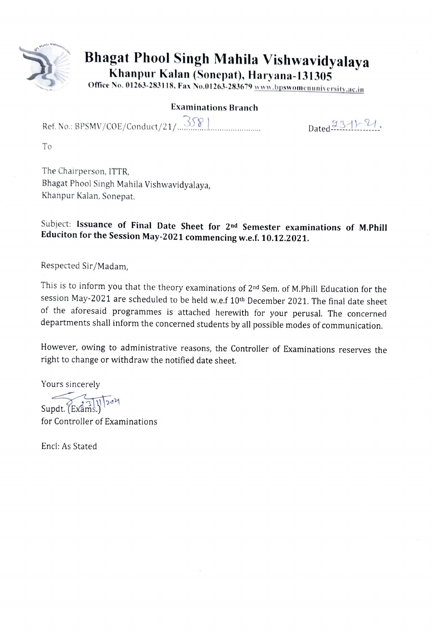

# Bhagat Phool Singh Mahila Vishwavidyalaya

Khanpur Kalan (Sonepat), Haryana-131305

Office No. 01263-283118, Fax No.01263-283679 www.bpswomenuniversity.ac.in

### Examinations Branch

Ref. No.: BPSMV/COE/Conduct/21/. Dated 1-Y, \*\*\*\*\*\*\*'°''''''\*'\*\*\*\*\*

To

The Chairperson, 1TTR, Bhagat Phool Singh Mahila Vishwavidyalaya, Khanpur Kalan, Sonepat.

Subject: Issuance of Final Date Sheet for 2<sup>nd</sup> Semester examinations of M.Phill Educiton for the Session May-2021 commencing w.e.f. 10.12.2021.

Respected Sir/Madam,

This is to inform you that the theory examinations of 2nd Sem. of M.Phill Education for the session May-2021 are scheduled to be held w.e.f 10th December 2021. The final date sheet of the aforesaid programmes is attached herewith for your perusal. The concerned departments shall inform the concerned students by all possible modes of communication.

However, owing to administrative reasons, the Controller of Examinations reserves the right to change or withdraw the notified date sheet.

Yours sincerely

 $\widetilde{\text{Supdt.}(\text{Exams.})}$ 

for Controller of Examinations

Encl: As Stated